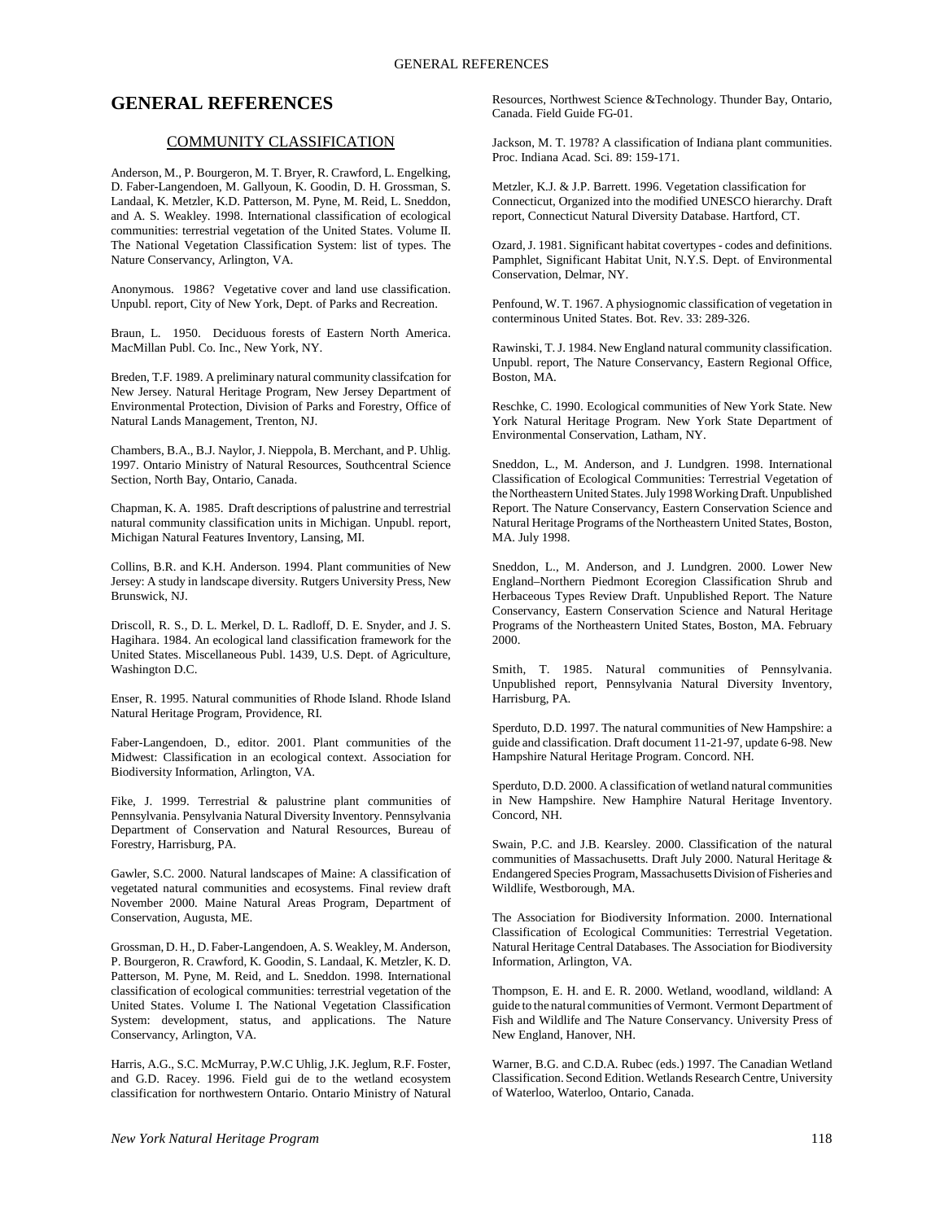# **GENERAL REFERENCES**

## COMMUNITY CLASSIFICATION

Anderson, M., P. Bourgeron, M. T. Bryer, R. Crawford, L. Engelking, D. Faber-Langendoen, M. Gallyoun, K. Goodin, D. H. Grossman, S. Landaal, K. Metzler, K.D. Patterson, M. Pyne, M. Reid, L. Sneddon, and A. S. Weakley. 1998. International classification of ecological communities: terrestrial vegetation of the United States. Volume II. The National Vegetation Classification System: list of types. The Nature Conservancy, Arlington, VA.

Anonymous. 1986? Vegetative cover and land use classification. Unpubl. report, City of New York, Dept. of Parks and Recreation.

Braun, L. 1950. Deciduous forests of Eastern North America. MacMillan Publ. Co. Inc., New York, NY.

Breden, T.F. 1989. A preliminary natural community classifcation for New Jersey. Natural Heritage Program, New Jersey Department of Environmental Protection, Division of Parks and Forestry, Office of Natural Lands Management, Trenton, NJ.

Chambers, B.A., B.J. Naylor, J. Nieppola, B. Merchant, and P. Uhlig. 1997. Ontario Ministry of Natural Resources, Southcentral Science Section, North Bay, Ontario, Canada.

Chapman, K. A. 1985. Draft descriptions of palustrine and terrestrial natural community classification units in Michigan. Unpubl. report, Michigan Natural Features Inventory, Lansing, MI.

Collins, B.R. and K.H. Anderson. 1994. Plant communities of New Jersey: A study in landscape diversity. Rutgers University Press, New Brunswick, NJ.

Driscoll, R. S., D. L. Merkel, D. L. Radloff, D. E. Snyder, and J. S. Hagihara. 1984. An ecological land classification framework for the United States. Miscellaneous Publ. 1439, U.S. Dept. of Agriculture, Washington D.C.

Enser, R. 1995. Natural communities of Rhode Island. Rhode Island Natural Heritage Program, Providence, RI.

Faber-Langendoen, D., editor. 2001. Plant communities of the Midwest: Classification in an ecological context. Association for Biodiversity Information, Arlington, VA.

Fike, J. 1999. Terrestrial & palustrine plant communities of Pennsylvania. Pensylvania Natural Diversity Inventory. Pennsylvania Department of Conservation and Natural Resources, Bureau of Forestry, Harrisburg, PA.

Gawler, S.C. 2000. Natural landscapes of Maine: A classification of vegetated natural communities and ecosystems. Final review draft November 2000. Maine Natural Areas Program, Department of Conservation, Augusta, ME.

Grossman, D. H., D. Faber-Langendoen, A. S. Weakley, M. Anderson, P. Bourgeron, R. Crawford, K. Goodin, S. Landaal, K. Metzler, K. D. Patterson, M. Pyne, M. Reid, and L. Sneddon. 1998. International classification of ecological communities: terrestrial vegetation of the United States. Volume I. The National Vegetation Classification System: development, status, and applications. The Nature Conservancy, Arlington, VA.

Harris, A.G., S.C. McMurray, P.W.C Uhlig, J.K. Jeglum, R.F. Foster, and G.D. Racey. 1996. Field gui de to the wetland ecosystem classification for northwestern Ontario. Ontario Ministry of Natural Resources, Northwest Science &Technology. Thunder Bay, Ontario, Canada. Field Guide FG-01.

Jackson, M. T. 1978? A classification of Indiana plant communities. Proc. Indiana Acad. Sci. 89: 159-171.

Metzler, K.J. & J.P. Barrett. 1996. Vegetation classification for Connecticut, Organized into the modified UNESCO hierarchy. Draft report, Connecticut Natural Diversity Database. Hartford, CT.

Ozard, J. 1981. Significant habitat covertypes - codes and definitions. Pamphlet, Significant Habitat Unit, N.Y.S. Dept. of Environmental Conservation, Delmar, NY.

Penfound, W. T. 1967. A physiognomic classification of vegetation in conterminous United States. Bot. Rev. 33: 289-326.

Rawinski, T. J. 1984. New England natural community classification. Unpubl. report, The Nature Conservancy, Eastern Regional Office, Boston, MA.

Reschke, C. 1990. Ecological communities of New York State. New York Natural Heritage Program. New York State Department of Environmental Conservation, Latham, NY.

Sneddon, L., M. Anderson, and J. Lundgren. 1998. International Classification of Ecological Communities: Terrestrial Vegetation of the Northeastern United States. July 1998 Working Draft. Unpublished Report. The Nature Conservancy, Eastern Conservation Science and Natural Heritage Programs of the Northeastern United States, Boston, MA. July 1998.

Sneddon, L., M. Anderson, and J. Lundgren. 2000. Lower New England–Northern Piedmont Ecoregion Classification Shrub and Herbaceous Types Review Draft. Unpublished Report. The Nature Conservancy, Eastern Conservation Science and Natural Heritage Programs of the Northeastern United States, Boston, MA. February 2000.

Smith, T. 1985. Natural communities of Pennsylvania. Unpublished report, Pennsylvania Natural Diversity Inventory, Harrisburg, PA.

Sperduto, D.D. 1997. The natural communities of New Hampshire: a guide and classification. Draft document 11-21-97, update 6-98. New Hampshire Natural Heritage Program. Concord. NH.

Sperduto, D.D. 2000. A classification of wetland natural communities in New Hampshire. New Hamphire Natural Heritage Inventory. Concord, NH.

Swain, P.C. and J.B. Kearsley. 2000. Classification of the natural communities of Massachusetts. Draft July 2000. Natural Heritage & Endangered Species Program, Massachusetts Division of Fisheries and Wildlife, Westborough, MA.

The Association for Biodiversity Information. 2000. International Classification of Ecological Communities: Terrestrial Vegetation. Natural Heritage Central Databases. The Association for Biodiversity Information, Arlington, VA.

Thompson, E. H. and E. R. 2000. Wetland, woodland, wildland: A guide to the natural communities of Vermont. Vermont Department of Fish and Wildlife and The Nature Conservancy. University Press of New England, Hanover, NH.

Warner, B.G. and C.D.A. Rubec (eds.) 1997. The Canadian Wetland Classification. Second Edition. Wetlands Research Centre, University of Waterloo, Waterloo, Ontario, Canada.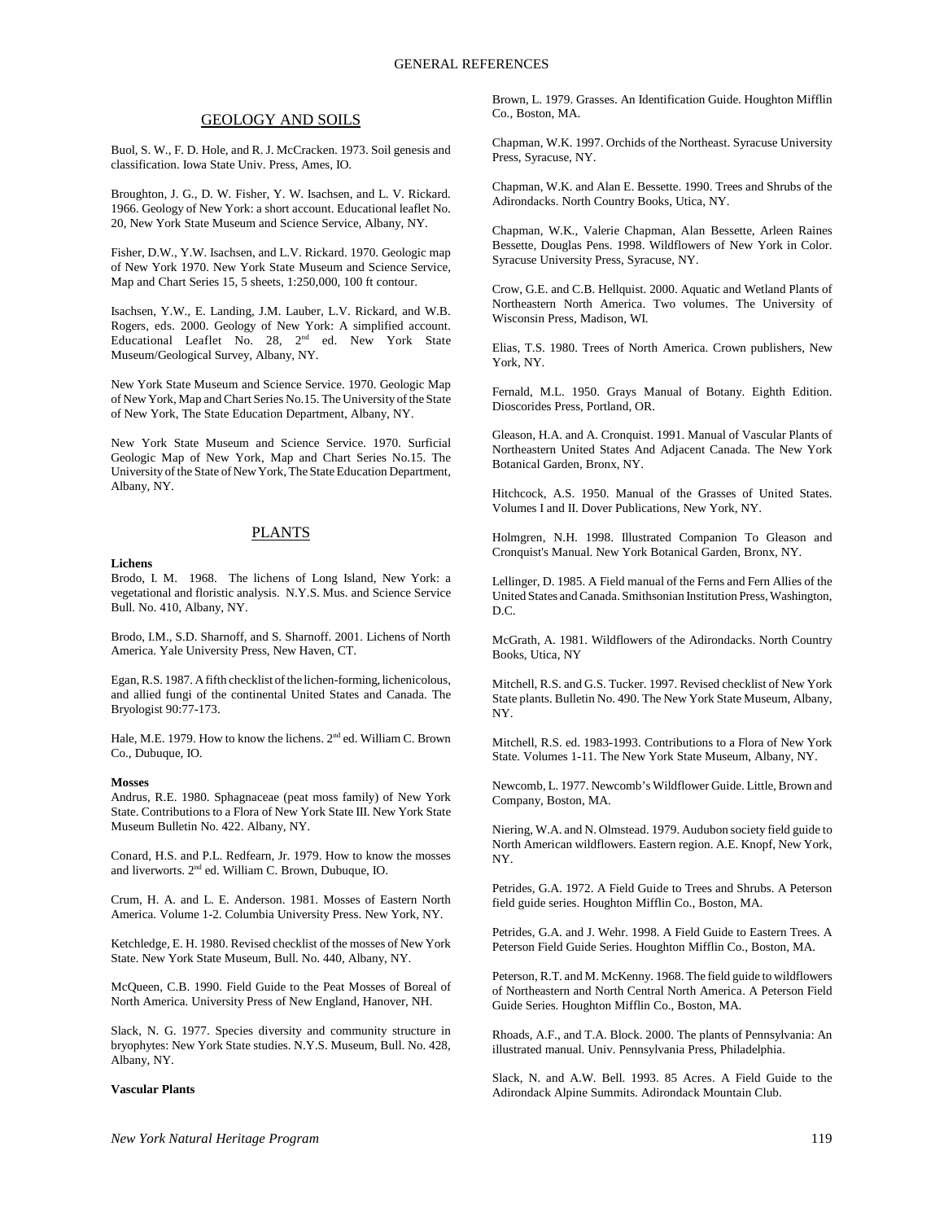# GEOLOGY AND SOILS

Buol, S. W., F. D. Hole, and R. J. McCracken. 1973. Soil genesis and classification. Iowa State Univ. Press, Ames, IO.

Broughton, J. G., D. W. Fisher, Y. W. Isachsen, and L. V. Rickard. 1966. Geology of New York: a short account. Educational leaflet No. 20, New York State Museum and Science Service, Albany, NY.

Fisher, D.W., Y.W. Isachsen, and L.V. Rickard. 1970. Geologic map of New York 1970. New York State Museum and Science Service, Map and Chart Series 15, 5 sheets, 1:250,000, 100 ft contour.

Isachsen, Y.W., E. Landing, J.M. Lauber, L.V. Rickard, and W.B. Rogers, eds. 2000. Geology of New York: A simplified account. Educational Leaflet No. 28, 2<sup>nd</sup> ed. New York State Museum/Geological Survey, Albany, NY.

New York State Museum and Science Service. 1970. Geologic Map of New York, Map and Chart Series No.15. The University of the State of New York, The State Education Department, Albany, NY.

New York State Museum and Science Service. 1970. Surficial Geologic Map of New York, Map and Chart Series No.15. The University of the State of New York, The State Education Department, Albany, NY.

# PLANTS

**Lichens**

Brodo, I. M. 1968. The lichens of Long Island, New York: a vegetational and floristic analysis. N.Y.S. Mus. and Science Service Bull. No. 410, Albany, NY.

Brodo, I.M., S.D. Sharnoff, and S. Sharnoff. 2001. Lichens of North America. Yale University Press, New Haven, CT.

Egan, R.S. 1987. A fifth checklist of the lichen-forming, lichenicolous, and allied fungi of the continental United States and Canada. The Bryologist 90:77-173.

Hale, M.E. 1979. How to know the lichens.  $2<sup>nd</sup>$  ed. William C. Brown Co., Dubuque, IO.

#### **Mosses**

Andrus, R.E. 1980. Sphagnaceae (peat moss family) of New York State. Contributions to a Flora of New York State III. New York State Museum Bulletin No. 422. Albany, NY.

Conard, H.S. and P.L. Redfearn, Jr. 1979. How to know the mosses and liverworts. 2nd ed. William C. Brown, Dubuque, IO.

Crum, H. A. and L. E. Anderson. 1981. Mosses of Eastern North America. Volume 1-2. Columbia University Press. New York, NY.

Ketchledge, E. H. 1980. Revised checklist of the mosses of New York State. New York State Museum, Bull. No. 440, Albany, NY.

McQueen, C.B. 1990. Field Guide to the Peat Mosses of Boreal of North America. University Press of New England, Hanover, NH.

Slack, N. G. 1977. Species diversity and community structure in bryophytes: New York State studies. N.Y.S. Museum, Bull. No. 428, Albany, NY.

### **Vascular Plants**

Brown, L. 1979. Grasses. An Identification Guide. Houghton Mifflin Co., Boston, MA.

Chapman, W.K. 1997. Orchids of the Northeast. Syracuse University Press, Syracuse, NY.

Chapman, W.K. and Alan E. Bessette. 1990. Trees and Shrubs of the Adirondacks. North Country Books, Utica, NY.

Chapman, W.K., Valerie Chapman, Alan Bessette, Arleen Raines Bessette, Douglas Pens. 1998. Wildflowers of New York in Color. Syracuse University Press, Syracuse, NY.

Crow, G.E. and C.B. Hellquist. 2000. Aquatic and Wetland Plants of Northeastern North America. Two volumes. The University of Wisconsin Press, Madison, WI.

Elias, T.S. 1980. Trees of North America. Crown publishers, New York, NY.

Fernald, M.L. 1950. Grays Manual of Botany. Eighth Edition. Dioscorides Press, Portland, OR.

Gleason, H.A. and A. Cronquist. 1991. Manual of Vascular Plants of Northeastern United States And Adjacent Canada. The New York Botanical Garden, Bronx, NY.

Hitchcock, A.S. 1950. Manual of the Grasses of United States. Volumes I and II. Dover Publications, New York, NY.

Holmgren, N.H. 1998. Illustrated Companion To Gleason and Cronquist's Manual. New York Botanical Garden, Bronx, NY.

Lellinger, D. 1985. A Field manual of the Ferns and Fern Allies of the United States and Canada. Smithsonian Institution Press, Washington, D.C.

McGrath, A. 1981. Wildflowers of the Adirondacks. North Country Books, Utica, NY

Mitchell, R.S. and G.S. Tucker. 1997. Revised checklist of New York State plants. Bulletin No. 490. The New York State Museum, Albany, NY.

Mitchell, R.S. ed. 1983-1993. Contributions to a Flora of New York State. Volumes 1-11. The New York State Museum, Albany, NY.

Newcomb, L. 1977. Newcomb's Wildflower Guide. Little, Brown and Company, Boston, MA.

Niering, W.A. and N. Olmstead. 1979. Audubon society field guide to North American wildflowers. Eastern region. A.E. Knopf, New York, NY.

Petrides, G.A. 1972. A Field Guide to Trees and Shrubs. A Peterson field guide series. Houghton Mifflin Co., Boston, MA.

Petrides, G.A. and J. Wehr. 1998. A Field Guide to Eastern Trees. A Peterson Field Guide Series. Houghton Mifflin Co., Boston, MA.

Peterson, R.T. and M. McKenny. 1968. The field guide to wildflowers of Northeastern and North Central North America. A Peterson Field Guide Series. Houghton Mifflin Co., Boston, MA.

Rhoads, A.F., and T.A. Block. 2000. The plants of Pennsylvania: An illustrated manual. Univ. Pennsylvania Press, Philadelphia.

Slack, N. and A.W. Bell. 1993. 85 Acres. A Field Guide to the Adirondack Alpine Summits. Adirondack Mountain Club.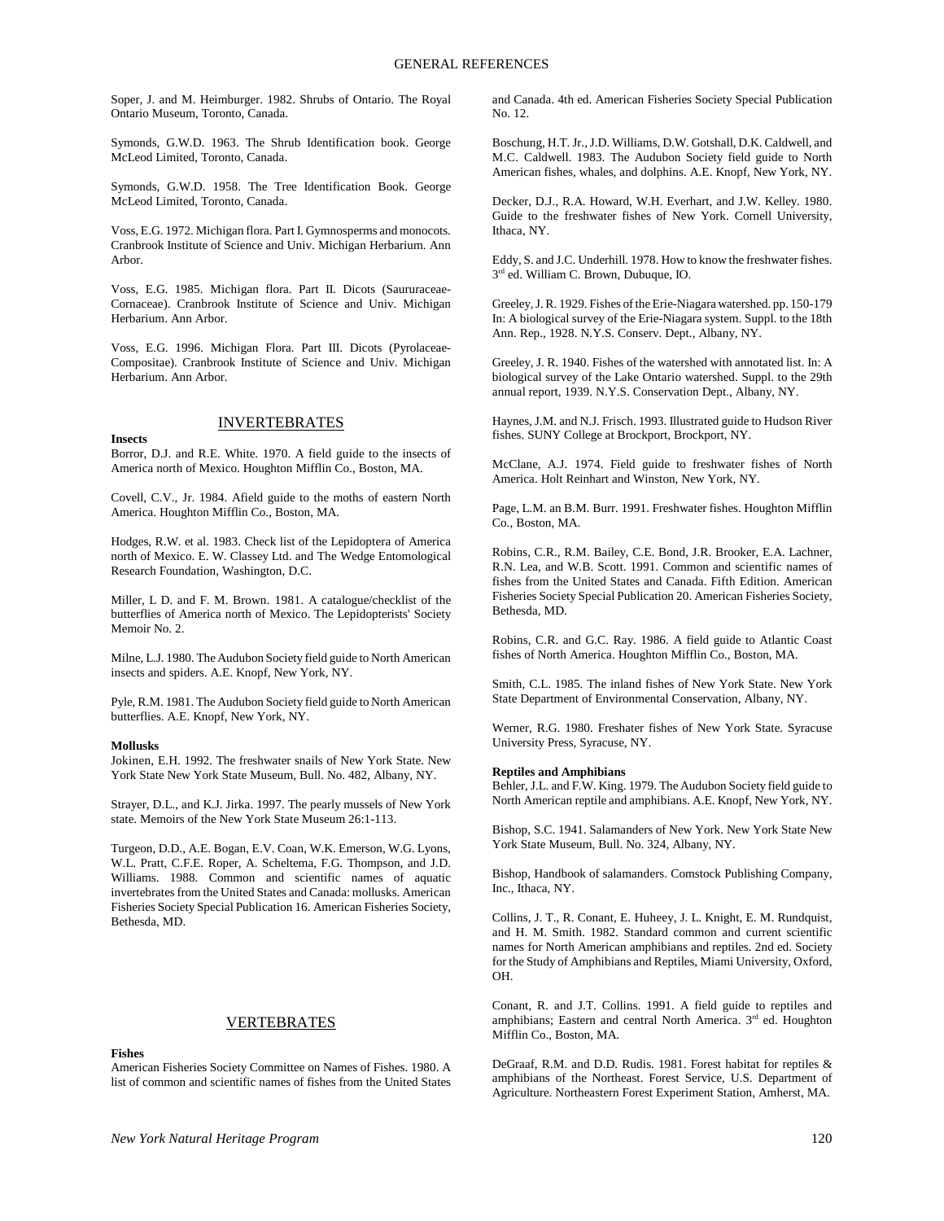Soper, J. and M. Heimburger. 1982. Shrubs of Ontario. The Royal Ontario Museum, Toronto, Canada.

Symonds, G.W.D. 1963. The Shrub Identification book. George McLeod Limited, Toronto, Canada.

Symonds, G.W.D. 1958. The Tree Identification Book. George McLeod Limited, Toronto, Canada.

Voss, E.G. 1972. Michigan flora. Part I. Gymnosperms and monocots. Cranbrook Institute of Science and Univ. Michigan Herbarium. Ann Arbor.

Voss, E.G. 1985. Michigan flora. Part II. Dicots (Saururaceae-Cornaceae). Cranbrook Institute of Science and Univ. Michigan Herbarium. Ann Arbor.

Voss, E.G. 1996. Michigan Flora. Part III. Dicots (Pyrolaceae-Compositae). Cranbrook Institute of Science and Univ. Michigan Herbarium. Ann Arbor.

# **INVERTEBRATES**

**Insects**

Borror, D.J. and R.E. White. 1970. A field guide to the insects of America north of Mexico. Houghton Mifflin Co., Boston, MA.

Covell, C.V., Jr. 1984. Afield guide to the moths of eastern North America. Houghton Mifflin Co., Boston, MA.

Hodges, R.W. et al. 1983. Check list of the Lepidoptera of America north of Mexico. E. W. Classey Ltd. and The Wedge Entomological Research Foundation, Washington, D.C.

Miller, L D. and F. M. Brown. 1981. A catalogue/checklist of the butterflies of America north of Mexico. The Lepidopterists' Society Memoir No. 2.

Milne, L.J. 1980. The Audubon Society field guide to North American insects and spiders. A.E. Knopf, New York, NY.

Pyle, R.M. 1981. The Audubon Society field guide to North American butterflies. A.E. Knopf, New York, NY.

#### **Mollusks**

Jokinen, E.H. 1992. The freshwater snails of New York State. New York State New York State Museum, Bull. No. 482, Albany, NY.

Strayer, D.L., and K.J. Jirka. 1997. The pearly mussels of New York state. Memoirs of the New York State Museum 26:1-113.

Turgeon, D.D., A.E. Bogan, E.V. Coan, W.K. Emerson, W.G. Lyons, W.L. Pratt, C.F.E. Roper, A. Scheltema, F.G. Thompson, and J.D. Williams. 1988. Common and scientific names of aquatic invertebrates from the United States and Canada: mollusks. American Fisheries Society Special Publication 16. American Fisheries Society, Bethesda, MD.

## VERTEBRATES

**Fishes**

American Fisheries Society Committee on Names of Fishes. 1980. A list of common and scientific names of fishes from the United States

and Canada. 4th ed. American Fisheries Society Special Publication No. 12.

Boschung, H.T. Jr., J.D. Williams, D.W. Gotshall, D.K. Caldwell, and M.C. Caldwell. 1983. The Audubon Society field guide to North American fishes, whales, and dolphins. A.E. Knopf, New York, NY.

Decker, D.J., R.A. Howard, W.H. Everhart, and J.W. Kelley. 1980. Guide to the freshwater fishes of New York. Cornell University, Ithaca, NY.

Eddy, S. and J.C. Underhill. 1978. How to know the freshwater fishes. 3rd ed. William C. Brown, Dubuque, IO.

Greeley, J. R. 1929. Fishes of the Erie-Niagara watershed. pp. 150-179 In: A biological survey of the Erie-Niagara system. Suppl. to the 18th Ann. Rep., 1928. N.Y.S. Conserv. Dept., Albany, NY.

Greeley, J. R. 1940. Fishes of the watershed with annotated list. In: A biological survey of the Lake Ontario watershed. Suppl. to the 29th annual report, 1939. N.Y.S. Conservation Dept., Albany, NY.

Haynes, J.M. and N.J. Frisch. 1993. Illustrated guide to Hudson River fishes. SUNY College at Brockport, Brockport, NY.

McClane, A.J. 1974. Field guide to freshwater fishes of North America. Holt Reinhart and Winston, New York, NY.

Page, L.M. an B.M. Burr. 1991. Freshwater fishes. Houghton Mifflin Co., Boston, MA.

Robins, C.R., R.M. Bailey, C.E. Bond, J.R. Brooker, E.A. Lachner, R.N. Lea, and W.B. Scott. 1991. Common and scientific names of fishes from the United States and Canada. Fifth Edition. American Fisheries Society Special Publication 20. American Fisheries Society, Bethesda, MD.

Robins, C.R. and G.C. Ray. 1986. A field guide to Atlantic Coast fishes of North America. Houghton Mifflin Co., Boston, MA.

Smith, C.L. 1985. The inland fishes of New York State. New York State Department of Environmental Conservation, Albany, NY.

Werner, R.G. 1980. Freshater fishes of New York State. Syracuse University Press, Syracuse, NY.

### **Reptiles and Amphibians**

Behler, J.L. and F.W. King. 1979. The Audubon Society field guide to North American reptile and amphibians. A.E. Knopf, New York, NY.

Bishop, S.C. 1941. Salamanders of New York. New York State New York State Museum, Bull. No. 324, Albany, NY.

Bishop, Handbook of salamanders. Comstock Publishing Company, Inc., Ithaca, NY.

Collins, J. T., R. Conant, E. Huheey, J. L. Knight, E. M. Rundquist, and H. M. Smith. 1982. Standard common and current scientific names for North American amphibians and reptiles. 2nd ed. Society for the Study of Amphibians and Reptiles, Miami University, Oxford, OH.

Conant, R. and J.T. Collins. 1991. A field guide to reptiles and amphibians; Eastern and central North America. 3<sup>rd</sup> ed. Houghton Mifflin Co., Boston, MA.

DeGraaf, R.M. and D.D. Rudis. 1981. Forest habitat for reptiles & amphibians of the Northeast. Forest Service, U.S. Department of Agriculture. Northeastern Forest Experiment Station, Amherst, MA.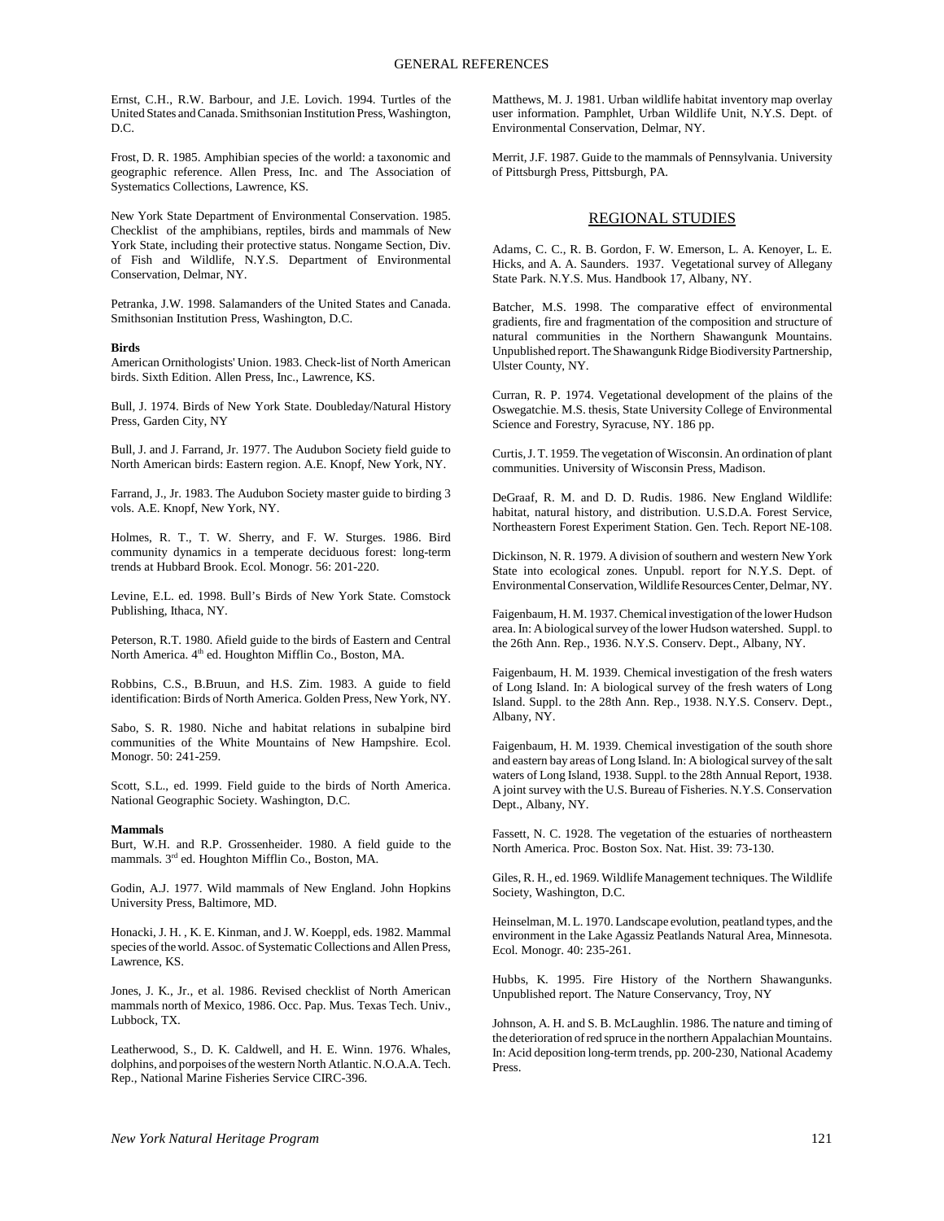Ernst, C.H., R.W. Barbour, and J.E. Lovich. 1994. Turtles of the United States and Canada. Smithsonian Institution Press, Washington, D.C.

Frost, D. R. 1985. Amphibian species of the world: a taxonomic and geographic reference. Allen Press, Inc. and The Association of Systematics Collections, Lawrence, KS.

New York State Department of Environmental Conservation. 1985. Checklist of the amphibians, reptiles, birds and mammals of New York State, including their protective status. Nongame Section, Div. of Fish and Wildlife, N.Y.S. Department of Environmental Conservation, Delmar, NY.

Petranka, J.W. 1998. Salamanders of the United States and Canada. Smithsonian Institution Press, Washington, D.C.

### **Birds**

American Ornithologists' Union. 1983. Check-list of North American birds. Sixth Edition. Allen Press, Inc., Lawrence, KS.

Bull, J. 1974. Birds of New York State. Doubleday/Natural History Press, Garden City, NY

Bull, J. and J. Farrand, Jr. 1977. The Audubon Society field guide to North American birds: Eastern region. A.E. Knopf, New York, NY.

Farrand, J., Jr. 1983. The Audubon Society master guide to birding 3 vols. A.E. Knopf, New York, NY.

Holmes, R. T., T. W. Sherry, and F. W. Sturges. 1986. Bird community dynamics in a temperate deciduous forest: long-term trends at Hubbard Brook. Ecol. Monogr. 56: 201-220.

Levine, E.L. ed. 1998. Bull's Birds of New York State. Comstock Publishing, Ithaca, NY.

Peterson, R.T. 1980. Afield guide to the birds of Eastern and Central North America. 4<sup>th</sup> ed. Houghton Mifflin Co., Boston, MA.

Robbins, C.S., B.Bruun, and H.S. Zim. 1983. A guide to field identification: Birds of North America. Golden Press, New York, NY.

Sabo, S. R. 1980. Niche and habitat relations in subalpine bird communities of the White Mountains of New Hampshire. Ecol. Monogr. 50: 241-259.

Scott, S.L., ed. 1999. Field guide to the birds of North America. National Geographic Society. Washington, D.C.

### **Mammals**

Burt, W.H. and R.P. Grossenheider. 1980. A field guide to the mammals. 3rd ed. Houghton Mifflin Co., Boston, MA.

Godin, A.J. 1977. Wild mammals of New England. John Hopkins University Press, Baltimore, MD.

Honacki, J. H. , K. E. Kinman, and J. W. Koeppl, eds. 1982. Mammal species of the world. Assoc. of Systematic Collections and Allen Press, Lawrence, KS.

Jones, J. K., Jr., et al. 1986. Revised checklist of North American mammals north of Mexico, 1986. Occ. Pap. Mus. Texas Tech. Univ., Lubbock, TX.

Leatherwood, S., D. K. Caldwell, and H. E. Winn. 1976. Whales, dolphins, and porpoises of the western North Atlantic. N.O.A.A. Tech. Rep., National Marine Fisheries Service CIRC-396.

Matthews, M. J. 1981. Urban wildlife habitat inventory map overlay user information. Pamphlet, Urban Wildlife Unit, N.Y.S. Dept. of Environmental Conservation, Delmar, NY.

Merrit, J.F. 1987. Guide to the mammals of Pennsylvania. University of Pittsburgh Press, Pittsburgh, PA.

# REGIONAL STUDIES

Adams, C. C., R. B. Gordon, F. W. Emerson, L. A. Kenoyer, L. E. Hicks, and A. A. Saunders. 1937. Vegetational survey of Allegany State Park. N.Y.S. Mus. Handbook 17, Albany, NY.

Batcher, M.S. 1998. The comparative effect of environmental gradients, fire and fragmentation of the composition and structure of natural communities in the Northern Shawangunk Mountains. Unpublished report. The Shawangunk Ridge Biodiversity Partnership, Ulster County, NY.

Curran, R. P. 1974. Vegetational development of the plains of the Oswegatchie. M.S. thesis, State University College of Environmental Science and Forestry, Syracuse, NY. 186 pp.

Curtis, J. T. 1959. The vegetation of Wisconsin. An ordination of plant communities. University of Wisconsin Press, Madison.

DeGraaf, R. M. and D. D. Rudis. 1986. New England Wildlife: habitat, natural history, and distribution. U.S.D.A. Forest Service, Northeastern Forest Experiment Station. Gen. Tech. Report NE-108.

Dickinson, N. R. 1979. A division of southern and western New York State into ecological zones. Unpubl. report for N.Y.S. Dept. of Environmental Conservation, Wildlife Resources Center, Delmar, NY.

Faigenbaum, H. M. 1937. Chemical investigation of the lower Hudson area. In: A biological survey of the lower Hudson watershed. Suppl. to the 26th Ann. Rep., 1936. N.Y.S. Conserv. Dept., Albany, NY.

Faigenbaum, H. M. 1939. Chemical investigation of the fresh waters of Long Island. In: A biological survey of the fresh waters of Long Island. Suppl. to the 28th Ann. Rep., 1938. N.Y.S. Conserv. Dept., Albany, NY.

Faigenbaum, H. M. 1939. Chemical investigation of the south shore and eastern bay areas of Long Island. In: A biological survey of the salt waters of Long Island, 1938. Suppl. to the 28th Annual Report, 1938. A joint survey with the U.S. Bureau of Fisheries. N.Y.S. Conservation Dept., Albany, NY.

Fassett, N. C. 1928. The vegetation of the estuaries of northeastern North America. Proc. Boston Sox. Nat. Hist. 39: 73-130.

Giles, R. H., ed. 1969. Wildlife Management techniques. The Wildlife Society, Washington, D.C.

Heinselman, M. L. 1970. Landscape evolution, peatland types, and the environment in the Lake Agassiz Peatlands Natural Area, Minnesota. Ecol. Monogr. 40: 235-261.

Hubbs, K. 1995. Fire History of the Northern Shawangunks. Unpublished report. The Nature Conservancy, Troy, NY

Johnson, A. H. and S. B. McLaughlin. 1986. The nature and timing of the deterioration of red spruce in the northern Appalachian Mountains. In: Acid deposition long-term trends, pp. 200-230, National Academy Press.